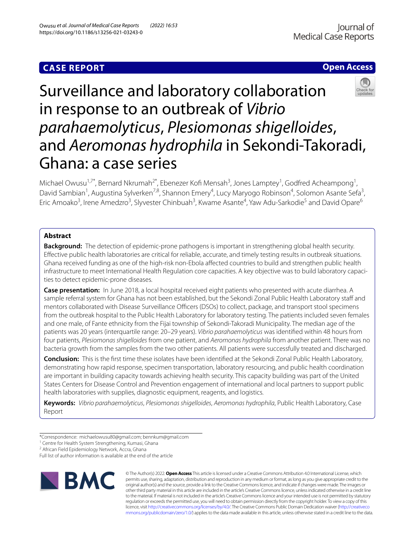# **Open Access**



# Surveillance and laboratory collaboration in response to an outbreak of *Vibrio parahaemolyticus*, *Plesiomonas shigelloides*, and *Aeromonas hydrophila* in Sekondi-Takoradi, Ghana: a case series

Michael Owusu<sup>1,7\*</sup>, Bernard Nkrumah<sup>2\*</sup>, Ebenezer Kofi Mensah<sup>3</sup>, Jones Lamptey<sup>1</sup>, Godfred Acheampong<sup>1</sup>, David Sambian<sup>1</sup>, Augustina Sylverken<sup>7,8</sup>, Shannon Emery<sup>4</sup>, Lucy Maryogo Robinson<sup>4</sup>, Solomon Asante Sefa<sup>3</sup>, Eric Amoako<sup>3</sup>, Irene Amedzro<sup>3</sup>, Slyvester Chinbuah<sup>3</sup>, Kwame Asante<sup>4</sup>, Yaw Adu-Sarkodie<sup>5</sup> and David Opare<sup>6</sup>

# **Abstract**

**Background:** The detection of epidemic-prone pathogens is important in strengthening global health security. Efective public health laboratories are critical for reliable, accurate, and timely testing results in outbreak situations. Ghana received funding as one of the high-risk non-Ebola afected countries to build and strengthen public health infrastructure to meet International Health Regulation core capacities. A key objective was to build laboratory capacities to detect epidemic-prone diseases.

**Case presentation:** In June 2018, a local hospital received eight patients who presented with acute diarrhea. A sample referral system for Ghana has not been established, but the Sekondi Zonal Public Health Laboratory staff and mentors collaborated with Disease Surveillance Officers (DSOs) to collect, package, and transport stool specimens from the outbreak hospital to the Public Health Laboratory for laboratory testing. The patients included seven females and one male, of Fante ethnicity from the Fijai township of Sekondi-Takoradi Municipality. The median age of the patients was 20 years (interquartile range: 20–29 years). *Vibrio parahaemolyticus* was identifed within 48 hours from four patients, *Plesiomonas shigelloides* from one patient, and *Aeromonas hydrophila* from another patient. There was no bacteria growth from the samples from the two other patients. All patients were successfully treated and discharged.

**Conclusion:** This is the frst time these isolates have been identifed at the Sekondi Zonal Public Health Laboratory, demonstrating how rapid response, specimen transportation, laboratory resourcing, and public health coordination are important in building capacity towards achieving health security. This capacity building was part of the United States Centers for Disease Control and Prevention engagement of international and local partners to support public health laboratories with supplies, diagnostic equipment, reagents, and logistics.

**Keywords:** *Vibrio parahaemolyticus*, *Plesiomonas shigelloides*, *Aeromonas hydrophila*, Public Health Laboratory, Case Report

Full list of author information is available at the end of the article



© The Author(s) 2022. **Open Access** This article is licensed under a Creative Commons Attribution 4.0 International License, which permits use, sharing, adaptation, distribution and reproduction in any medium or format, as long as you give appropriate credit to the original author(s) and the source, provide a link to the Creative Commons licence, and indicate if changes were made. The images or other third party material in this article are included in the article's Creative Commons licence, unless indicated otherwise in a credit line to the material. If material is not included in the article's Creative Commons licence and your intended use is not permitted by statutory regulation or exceeds the permitted use, you will need to obtain permission directly from the copyright holder. To view a copy of this licence, visit [http://creativecommons.org/licenses/by/4.0/.](http://creativecommons.org/licenses/by/4.0/) The Creative Commons Public Domain Dedication waiver ([http://creativeco](http://creativecommons.org/publicdomain/zero/1.0/) [mmons.org/publicdomain/zero/1.0/](http://creativecommons.org/publicdomain/zero/1.0/)) applies to the data made available in this article, unless otherwise stated in a credit line to the data.

<sup>\*</sup>Correspondence: michaelowusu80@gmail.com; bennkum@gmail.com

<sup>&</sup>lt;sup>1</sup> Centre for Health System Strengthening, Kumasi, Ghana

<sup>&</sup>lt;sup>2</sup> African Field Epidemiology Network, Accra, Ghana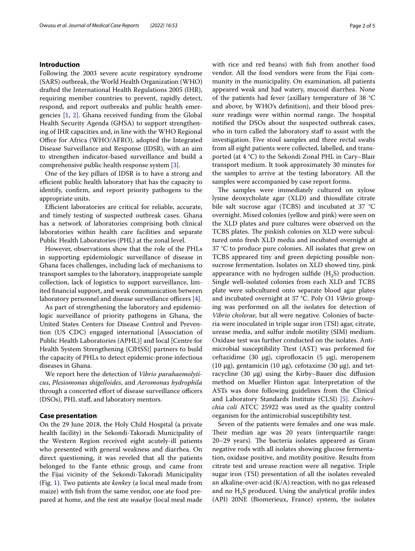# **Introduction**

Following the 2003 severe acute respiratory syndrome (SARS) outbreak, the World Health Organization (WHO) drafted the International Health Regulations 2005 (IHR), requiring member countries to prevent, rapidly detect, respond, and report outbreaks and public health emergencies [[1,](#page-4-0) [2](#page-4-1)]. Ghana received funding from the Global Health Security Agenda (GHSA) to support strengthening of IHR capacities and, in line with the WHO Regional Office for Africa (WHO/AFRO), adopted the Integrated Disease Surveillance and Response (IDSR), with an aim to strengthen indicator-based surveillance and build a comprehensive public health response system [\[3](#page-4-2)].

One of the key pillars of IDSR is to have a strong and efficient public health laboratory that has the capacity to identify, confrm, and report priority pathogens to the appropriate units.

Efficient laboratories are critical for reliable, accurate, and timely testing of suspected outbreak cases. Ghana has a network of laboratories comprising both clinical laboratories within health care facilities and separate Public Health Laboratories (PHL) at the zonal level.

However, observations show that the role of the PHLs in supporting epidemiologic surveillance of disease in Ghana faces challenges, including lack of mechanisms to transport samples to the laboratory, inappropriate sample collection, lack of logistics to support surveillance, limited fnancial support, and weak communication between laboratory personnel and disease surveillance officers  $[4]$  $[4]$ .

As part of strengthening the laboratory and epidemiologic surveillance of priority pathogens in Ghana, the United States Centers for Disease Control and Prevention (US CDC) engaged international [Association of Public Health Laboratories (APHL)] and local [Centre for Health System Strengthening (CfHSS)] partners to build the capacity of PHLs to detect epidemic-prone infectious diseases in Ghana.

We report here the detection of *Vibrio parahaemolyticus*, *Plesiomonas shigelloides*, and *Aeromonas hydrophila* through a concerted effort of disease surveillance officers (DSOs), PHL staf, and laboratory mentors.

# **Case presentation**

On the 29 June 2018, the Holy Child Hospital (a private health facility) in the Sekondi-Takoradi Municipality of the Western Region received eight acutely-ill patients who presented with general weakness and diarrhea. On direct questioning, it was reveled that all the patients belonged to the Fante ethnic group, and came from the Fijai vicinity of the Sekondi-Takoradi Municipality (Fig. [1](#page-2-0)). Two patients ate *kenkey* (a local meal made from maize) with fsh from the same vendor, one ate food prepared at home, and the rest ate *waakye* (local meal made with rice and red beans) with fsh from another food vendor. All the food vendors were from the Fijai community in the municipality. On examination, all patients appeared weak and had watery, mucoid diarrhea. None of the patients had fever (axillary temperature of 38 °C and above, by WHO's defnition), and their blood pressure readings were within normal range. The hospital notifed the DSOs about the suspected outbreak cases, who in turn called the laboratory staff to assist with the investigation. Five stool samples and three rectal swabs from all eight patients were collected, labelled, and transported (at 4 °C) to the Sekondi Zonal PHL in Cary–Blair transport medium. It took approximately 30 minutes for the samples to arrive at the testing laboratory. All the samples were accompanied by case report forms.

The samples were immediately cultured on xylose lysine deoxycholate agar (XLD) and thiosulfate citrate bile salt sucrose agar (TCBS) and incubated at 37 °C overnight. Mixed colonies (yellow and pink) were seen on the XLD plates and pure cultures were observed on the TCBS plates. The pinkish colonies on XLD were subcultured onto fresh XLD media and incubated overnight at 37 °C to produce pure colonies. All isolates that grew on TCBS appeared tiny and green depicting possible nonsucrose fermentation. Isolates on XLD showed tiny, pink appearance with no hydrogen sulfide  $(H_2S)$  production. Single well-isolated colonies from each XLD and TCBS plate were subcultured onto separate blood agar plates and incubated overnight at 37 °C. Poly O1 *Vibrio* grouping was performed on all the isolates for detection of *Vibrio cholerae,* but all were negative. Colonies of bacteria were inoculated in triple sugar iron (TSI) agar, citrate, urease media, and sulfur indole motility (SIM) medium. Oxidase test was further conducted on the isolates. Antimicrobial susceptibility Ttest (AST) was performed for ceftazidime (30  $\mu$ g), ciprofloxacin (5  $\mu$ g), meropenem (10  $\mu$ g), gentamicin (10  $\mu$ g), cefotaxime (30  $\mu$ g), and tetracycline  $(30 \mu g)$  using the Kirby–Bauer disc diffusion method on Mueller Hinton agar. Interpretation of the ASTs was done following guidelines from the Clinical and Laboratory Standards Institute (CLSI) [[5](#page-4-4)]. *Escherichia coli* ATCC 25922 was used as the quality control organism for the antimicrobial susceptibility test.

Seven of the patients were females and one was male. Their median age was 20 years (interquartile range: 20–29 years). The bacteria isolates appeared as Gram negative rods with all isolates showing glucose fermentation, oxidase positive, and motility positive. Results from citrate test and urease reaction were all negative. Triple sugar iron (TSI) presentation of all the isolates revealed an alkaline-over-acid (K/A) reaction, with no gas released and no  $H<sub>2</sub>S$  produced. Using the analytical profile index (API) 20NE (Biomerieux, France) system, the isolates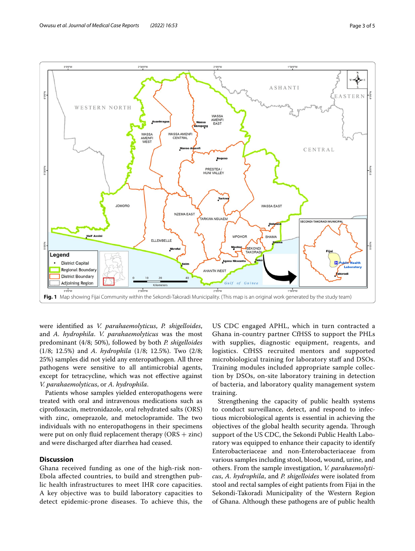

<span id="page-2-0"></span>were identifed as *V. parahaemolyticus*, *P. shigelloides*, and *A. hydrophila*. *V. parahaemolyticus* was the most predominant (4/8; 50%), followed by both *P. shigelloides* (1/8; 12.5%) and *A. hydrophila* (1/8; 12.5%). Two (2/8; 25%) samples did not yield any enteropathogen. All three pathogens were sensitive to all antimicrobial agents, except for tetracycline, which was not efective against *V. parahaemolyticus*, or *A. hydrophila*.

Patients whose samples yielded enteropathogens were treated with oral and intravenous medications such as ciprofloxacin, metronidazole, oral rehydrated salts (ORS) with zinc, omeprazole, and metoclopramide. The two individuals with no enteropathogens in their specimens were put on only fluid replacement therapy  $(ORS + zinc)$ and were discharged after diarrhea had ceased.

# **Discussion**

Ghana received funding as one of the high-risk non-Ebola afected countries, to build and strengthen public health infrastructures to meet IHR core capacities. A key objective was to build laboratory capacities to detect epidemic-prone diseases. To achieve this, the US CDC engaged APHL, which in turn contracted a Ghana in-country partner CfHSS to support the PHLs with supplies, diagnostic equipment, reagents, and logistics. CfHSS recruited mentors and supported microbiological training for laboratory staff and DSOs. Training modules included appropriate sample collection by DSOs, on-site laboratory training in detection of bacteria, and laboratory quality management system training.

Strengthening the capacity of public health systems to conduct surveillance, detect, and respond to infectious microbiological agents is essential in achieving the objectives of the global health security agenda. Through support of the US CDC, the Sekondi Public Health Laboratory was equipped to enhance their capacity to identify Enterobacteriaceae and non-Enterobacteriaceae from various samples including stool, blood, wound, urine, and others. From the sample investigation, *V. parahaemolyticus*, *A. hydrophila*, and *P. shigelloides* were isolated from stool and rectal samples of eight patients from Fijai in the Sekondi-Takoradi Municipality of the Western Region of Ghana. Although these pathogens are of public health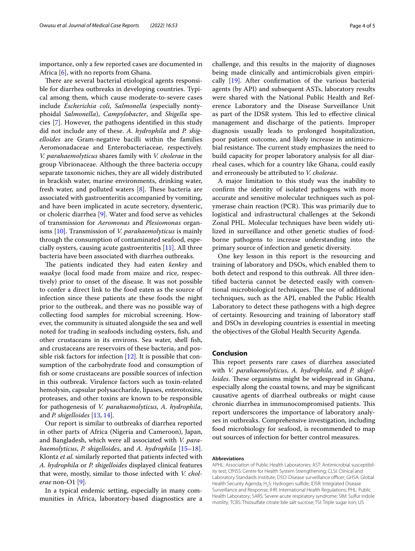importance, only a few reported cases are documented in Africa [[6\]](#page-4-5), with no reports from Ghana.

There are several bacterial etiological agents responsible for diarrhea outbreaks in developing countries. Typical among them, which cause moderate-to-severe cases include *Escherichia coli*, *Salmonella* (especially nontyphoidal *Salmonella*), *Campylobacter*, and *Shigella* species [[7\]](#page-4-6). However, the pathogens identifed in this study did not include any of these. *A. hydrophila* and *P. shigelloides* are Gram-negative bacilli within the families Aeromonadaceae and Enterobacteriaceae, respectively. *V. parahaemolyticus* shares family with *V. cholerae* in the group Vibrionaceae. Although the three bacteria occupy separate taxonomic niches, they are all widely distributed in brackish water, marine environments, drinking water, fresh water, and polluted waters  $[8]$  $[8]$  $[8]$ . These bacteria are associated with gastroenteritis accompanied by vomiting, and have been implicated in acute secretory, dysenteric, or choleric diarrhea [[9\]](#page-4-8). Water and food serve as vehicles of transmission for *Aeromonas* and *Plesiomonas* organisms [\[10\]](#page-4-9). Transmission of *V. parahaemolyticus* is mainly through the consumption of contaminated seafood, especially oysters, causing acute gastroenteritis [[11\]](#page-4-10). All three bacteria have been associated with diarrhea outbreaks.

The patients indicated they had eaten *kenkey* and *waakye* (local food made from maize and rice, respectively) prior to onset of the disease. It was not possible to confer a direct link to the food eaten as the source of infection since these patients ate these foods the night prior to the outbreak, and there was no possible way of collecting food samples for microbial screening. However, the community is situated alongside the sea and well noted for trading in seafoods including oysters, fsh, and other crustaceans in its environs. Sea water, shell fsh, and crustaceans are reservoirs of these bacteria, and possible risk factors for infection [\[12](#page-4-11)]. It is possible that consumption of the carbohydrate food and consumption of fsh or some crustaceans are possible sources of infection in this outbreak. Virulence factors such as toxin-related hemolysin, capsular polysaccharide, lipases, enterotoxins, proteases, and other toxins are known to be responsible for pathogenesis of *V. parahaemolyticus*, *A. hydrophila*, and *P. shigelloides* [\[13,](#page-4-12) [14](#page-4-13)].

Our report is similar to outbreaks of diarrhea reported in other parts of Africa (Nigeria and Cameroon), Japan, and Bangladesh, which were all associated with *V. parahaemolyticus*, *P. shigelloides*, and *A. hydrophila* [[15](#page-4-14)[–18](#page-4-15)]. Klontz *et al.* similarly reported that patients infected with *A. hydrophila* or *P. shigelloides* displayed clinical features that were, mostly, similar to those infected with *V. cholerae* non-O1 [[9\]](#page-4-8).

In a typical endemic setting, especially in many communities in Africa, laboratory-based diagnostics are a

challenge, and this results in the majority of diagnoses being made clinically and antimicrobials given empirically [[19](#page-4-16)]. After confrmation of the various bacterial agents (by API) and subsequent ASTs, laboratory results were shared with the National Public Health and Reference Laboratory and the Disease Surveillance Unit as part of the IDSR system. This led to effective clinical management and discharge of the patients. Improper diagnosis usually leads to prolonged hospitalization, poor patient outcome, and likely increase in antimicrobial resistance. The current study emphasizes the need to build capacity for proper laboratory analysis for all diarrheal cases, which for a country like Ghana, could easily and erroneously be attributed to *V. cholerae*.

A major limitation to this study was the inability to confrm the identity of isolated pathogens with more accurate and sensitive molecular techniques such as polymerase chain reaction (PCR). This was primarily due to logistical and infrastructural challenges at the Sekondi Zonal PHL. Molecular techniques have been widely utilized in surveillance and other genetic studies of foodborne pathogens to increase understanding into the primary source of infection and genetic diversity.

One key lesson in this report is the resourcing and training of laboratory and DSOs, which enabled them to both detect and respond to this outbreak. All three identifed bacteria cannot be detected easily with conventional microbiological techniques. The use of additional techniques, such as the API, enabled the Public Health Laboratory to detect these pathogens with a high degree of certainty. Resourcing and training of laboratory staf and DSOs in developing countries is essential in meeting the objectives of the Global Health Security Agenda.

# **Conclusion**

This report presents rare cases of diarrhea associated with *V. parahaemolyticus*, *A. hydrophila*, and *P. shigel*loides. These organisms might be widespread in Ghana, especially along the coastal towns, and may be signifcant causative agents of diarrheal outbreaks or might cause chronic diarrhea in immunocompromised patients. This report underscores the importance of laboratory analyses in outbreaks. Comprehensive investigation, including food microbiology for seafood, is recommended to map out sources of infection for better control measures.

# **Abbreviations**

APHL: Association of Public Health Laboratories; AST: Antimicrobial susceptibility test; CfHSS: Centre for Health System Strengthening; CLSI: Clinical and Laboratory Standards Institute; DSO: Disease surveillance officer; GHSA: Global Health Security Agenda; H<sub>2</sub>S: Hydrogen sulfide; IDSR: Integrated Disease Surveillance and Response; IHR: International Health Regulations; PHL: Public Health Laboratory; SARS: Severe acute respiratory syndrome; SIM: Sulfur indole motility; TCBS: Thiosulfate citrate bile salt sucrose; TSI: Triple sugar iron; US